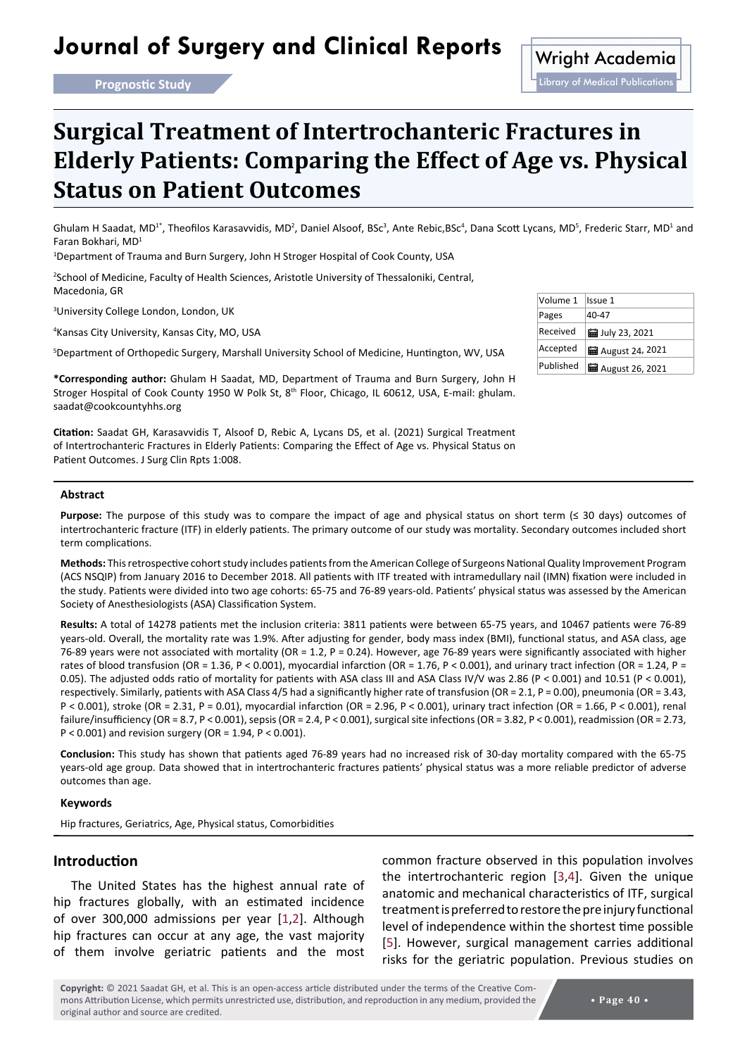# Journal of Surgery and Clinical Reports Wright Academia

## **Surgical Treatment of Intertrochanteric Fractures in Elderly Patients: Comparing the Effect of Age vs. Physical Status on Patient Outcomes**

Ghulam H Saadat, MD<sup>1\*</sup>, Theofilos Karasavvidis, MD<sup>2</sup>, Daniel Alsoof, BSc<sup>3</sup>, Ante Rebic,BSc<sup>4</sup>, Dana Scott Lycans, MD<sup>5</sup>, Frederic Starr, MD<sup>1</sup> and Faran Bokhari, MD<sup>1</sup>

<sup>1</sup>Department of Trauma and Burn Surgery, John H Stroger Hospital of Cook County, USA

2 School of Medicine, Faculty of Health Sciences, Aristotle University of Thessaloniki, Central, Macedonia, GR

3 University College London, London, UK

4 Kansas City University, Kansas City, MO, USA

5 Department of Orthopedic Surgery, Marshall University School of Medicine, Huntington, WV, USA

**\*Corresponding author:** Ghulam H Saadat, MD, Department of Trauma and Burn Surgery, John H Stroger Hospital of Cook County 1950 W Polk St, 8th Floor, Chicago, IL 60612, USA, E-mail: [ghulam.](mailto:ghulam.saadat@cookcountyhhs.org) [saadat@cookcountyhhs.org](mailto:ghulam.saadat@cookcountyhhs.org)

**Citation:** Saadat GH, Karasavvidis T, Alsoof D, Rebic A, Lycans DS, et al. (2021) Surgical Treatment of Intertrochanteric Fractures in Elderly Patients: Comparing the Effect of Age vs. Physical Status on Patient Outcomes. J Surg Clin Rpts 1:008.

#### **Abstract**

**Purpose:** The purpose of this study was to compare the impact of age and physical status on short term (≤ 30 days) outcomes of intertrochanteric fracture (ITF) in elderly patients. The primary outcome of our study was mortality. Secondary outcomes included short term complications.

**Methods:** This retrospective cohort study includes patients from the American College of Surgeons National Quality Improvement Program (ACS NSQIP) from January 2016 to December 2018. All patients with ITF treated with intramedullary nail (IMN) fixation were included in the study. Patients were divided into two age cohorts: 65-75 and 76-89 years-old. Patients' physical status was assessed by the American Society of Anesthesiologists (ASA) Classification System.

**Results:** A total of 14278 patients met the inclusion criteria: 3811 patients were between 65-75 years, and 10467 patients were 76-89 years-old. Overall, the mortality rate was 1.9%. After adjusting for gender, body mass index (BMI), functional status, and ASA class, age 76-89 years were not associated with mortality (OR = 1.2, P = 0.24). However, age 76-89 years were significantly associated with higher rates of blood transfusion (OR = 1.36, P < 0.001), myocardial infarction (OR = 1.76, P < 0.001), and urinary tract infection (OR = 1.24, P = 0.05). The adjusted odds ratio of mortality for patients with ASA class III and ASA Class IV/V was 2.86 (P < 0.001) and 10.51 (P < 0.001), respectively. Similarly, patients with ASA Class 4/5 had a significantly higher rate of transfusion (OR = 2.1, P = 0.00), pneumonia (OR = 3.43, P < 0.001), stroke (OR = 2.31, P = 0.01), myocardial infarction (OR = 2.96, P < 0.001), urinary tract infection (OR = 1.66, P < 0.001), renal failure/insufficiency (OR = 8.7, P < 0.001), sepsis (OR = 2.4, P < 0.001), surgical site infections (OR = 3.82, P < 0.001), readmission (OR = 2.73, P < 0.001) and revision surgery (OR = 1.94, P < 0.001).

**Conclusion:** This study has shown that patients aged 76-89 years had no increased risk of 30-day mortality compared with the 65-75 years-old age group. Data showed that in intertrochanteric fractures patients' physical status was a more reliable predictor of adverse outcomes than age.

#### **Keywords**

Hip fractures, Geriatrics, Age, Physical status, Comorbidities

#### **Introduction**

The United States has the highest annual rate of hip fractures globally, with an estimated incidence of over 300,000 admissions per year [[1](#page-6-3)[,2](#page-6-4)]. Although hip fractures can occur at any age, the vast majority of them involve geriatric patients and the most common fracture observed in this population involves the intertrochanteric region [[3](#page-6-0),[4](#page-6-1)]. Given the unique anatomic and mechanical characteristics of ITF, surgical treatment is preferred to restore the pre injury functional level of independence within the shortest time possible [[5\]](#page-6-2). However, surgical management carries additional risks for the geriatric population. Previous studies on

| Volume 1  | Issue 1                  |
|-----------|--------------------------|
| Pages     | 40-47                    |
| Received  | <b>扁 July 23, 2021</b>   |
| Accepted  | <b>■</b> August 24, 2021 |
| Published | <b>H</b> August 26, 2021 |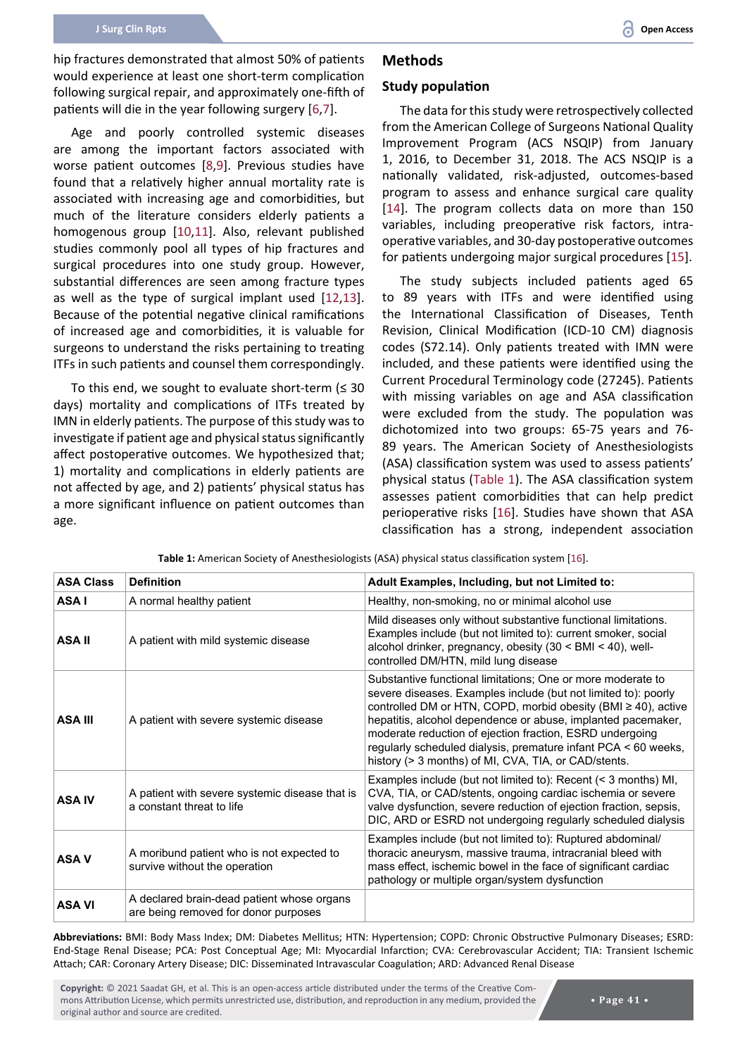hip fractures demonstrated that almost 50% of patients would experience at least one short-term complication following surgical repair, and approximately one-fifth of patients will die in the year following surgery [[6](#page-6-7)[,7\]](#page-6-8).

Age and poorly controlled systemic diseases are among the important factors associated with worse patient outcomes [\[8](#page-6-9),[9](#page-6-10)]. Previous studies have found that a relatively higher annual mortality rate is associated with increasing age and comorbidities, but much of the literature considers elderly patients a homogenous group [[10](#page-6-11)[,11](#page-6-12)]. Also, relevant published studies commonly pool all types of hip fractures and surgical procedures into one study group. However, substantial differences are seen among fracture types as well as the type of surgical implant used [[12,](#page-6-13)[13](#page-6-14)]. Because of the potential negative clinical ramifications of increased age and comorbidities, it is valuable for surgeons to understand the risks pertaining to treating ITFs in such patients and counsel them correspondingly.

To this end, we sought to evaluate short-term  $( \leq 30$ days) mortality and complications of ITFs treated by IMN in elderly patients. The purpose of this study was to investigate if patient age and physical status significantly affect postoperative outcomes. We hypothesized that; 1) mortality and complications in elderly patients are not affected by age, and 2) patients' physical status has a more significant influence on patient outcomes than age.

## **Methods**

## **Study population**

The data for this study were retrospectively collected from the American College of Surgeons National Quality Improvement Program (ACS NSQIP) from January 1, 2016, to December 31, 2018. The ACS NSQIP is a nationally validated, risk-adjusted, outcomes-based program to assess and enhance surgical care quality [\[14](#page-6-5)]. The program collects data on more than 150 variables, including preoperative risk factors, intraoperative variables, and 30-day postoperative outcomes for patients undergoing major surgical procedures [[15](#page-6-6)].

The study subjects included patients aged 65 to 89 years with ITFs and were identified using the International Classification of Diseases, Tenth Revision, Clinical Modification (ICD-10 CM) diagnosis codes (S72.14). Only patients treated with IMN were included, and these patients were identified using the Current Procedural Terminology code (27245). Patients with missing variables on age and ASA classification were excluded from the study. The population was dichotomized into two groups: 65-75 years and 76- 89 years. The American Society of Anesthesiologists (ASA) classification system was used to assess patients' physical status [\(Table 1\)](#page-1-0). The ASA classification system assesses patient comorbidities that can help predict perioperative risks [\[16](#page-7-0)]. Studies have shown that ASA classification has a strong, independent association

| <b>ASA Class</b> | <b>Definition</b>                                                                  | Adult Examples, Including, but not Limited to:                                                                                                                                                                                                                                                                                                                                                                                                       |
|------------------|------------------------------------------------------------------------------------|------------------------------------------------------------------------------------------------------------------------------------------------------------------------------------------------------------------------------------------------------------------------------------------------------------------------------------------------------------------------------------------------------------------------------------------------------|
| ASA I            | A normal healthy patient                                                           | Healthy, non-smoking, no or minimal alcohol use                                                                                                                                                                                                                                                                                                                                                                                                      |
| <b>ASA II</b>    | A patient with mild systemic disease                                               | Mild diseases only without substantive functional limitations.<br>Examples include (but not limited to): current smoker, social<br>alcohol drinker, pregnancy, obesity (30 < BMI < 40), well-<br>controlled DM/HTN, mild lung disease                                                                                                                                                                                                                |
| <b>ASA III</b>   | A patient with severe systemic disease                                             | Substantive functional limitations; One or more moderate to<br>severe diseases. Examples include (but not limited to): poorly<br>controlled DM or HTN, COPD, morbid obesity (BMI ≥ 40), active<br>hepatitis, alcohol dependence or abuse, implanted pacemaker,<br>moderate reduction of ejection fraction, ESRD undergoing<br>regularly scheduled dialysis, premature infant PCA < 60 weeks,<br>history (> 3 months) of MI, CVA, TIA, or CAD/stents. |
| <b>ASA IV</b>    | A patient with severe systemic disease that is<br>a constant threat to life        | Examples include (but not limited to): Recent (< 3 months) MI,<br>CVA, TIA, or CAD/stents, ongoing cardiac ischemia or severe<br>valve dysfunction, severe reduction of ejection fraction, sepsis,<br>DIC, ARD or ESRD not undergoing regularly scheduled dialysis                                                                                                                                                                                   |
| <b>ASA V</b>     | A moribund patient who is not expected to<br>survive without the operation         | Examples include (but not limited to): Ruptured abdominal/<br>thoracic aneurysm, massive trauma, intracranial bleed with<br>mass effect, ischemic bowel in the face of significant cardiac<br>pathology or multiple organ/system dysfunction                                                                                                                                                                                                         |
| <b>ASA VI</b>    | A declared brain-dead patient whose organs<br>are being removed for donor purposes |                                                                                                                                                                                                                                                                                                                                                                                                                                                      |

<span id="page-1-0"></span>**Table 1:** American Society of Anesthesiologists (ASA) physical status classification system [[16](#page-7-0)].

**Abbreviations:** BMI: Body Mass Index; DM: Diabetes Mellitus; HTN: Hypertension; COPD: Chronic Obstructive Pulmonary Diseases; ESRD: End-Stage Renal Disease; PCA: Post Conceptual Age; MI: Myocardial Infarction; CVA: Cerebrovascular Accident; TIA: Transient Ischemic Attach; CAR: Coronary Artery Disease; DIC: Disseminated Intravascular Coagulation; ARD: Advanced Renal Disease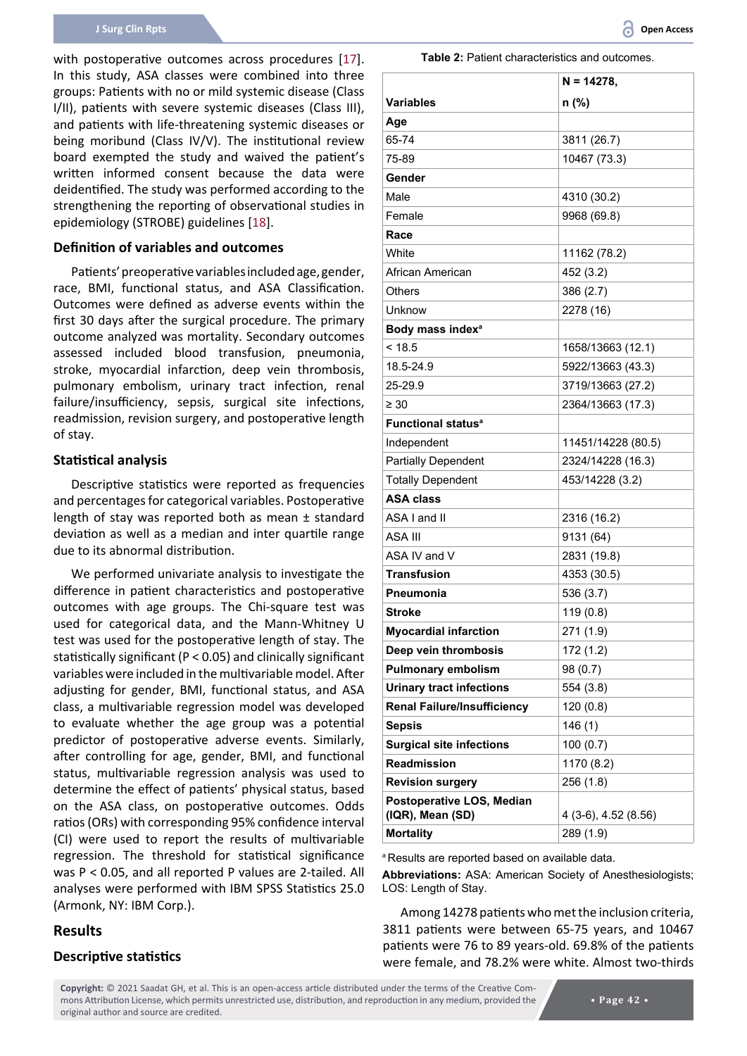with postoperative outcomes across procedures [[17](#page-7-1)]. In this study, ASA classes were combined into three groups: Patients with no or mild systemic disease (Class I/II), patients with severe systemic diseases (Class III), and patients with life-threatening systemic diseases or being moribund (Class IV/V). The institutional review board exempted the study and waived the patient's written informed consent because the data were deidentified. The study was performed according to the strengthening the reporting of observational studies in epidemiology (STROBE) guidelines [[18](#page-7-2)].

#### **Definition of variables and outcomes**

Patients' preoperative variables included age, gender, race, BMI, functional status, and ASA Classification. Outcomes were defined as adverse events within the first 30 days after the surgical procedure. The primary outcome analyzed was mortality. Secondary outcomes assessed included blood transfusion, pneumonia, stroke, myocardial infarction, deep vein thrombosis, pulmonary embolism, urinary tract infection, renal failure/insufficiency, sepsis, surgical site infections, readmission, revision surgery, and postoperative length of stay.

#### **Statistical analysis**

Descriptive statistics were reported as frequencies and percentages for categorical variables. Postoperative length of stay was reported both as mean ± standard deviation as well as a median and inter quartile range due to its abnormal distribution.

We performed univariate analysis to investigate the difference in patient characteristics and postoperative outcomes with age groups. The Chi-square test was used for categorical data, and the Mann-Whitney U test was used for the postoperative length of stay. The statistically significant (P < 0.05) and clinically significant variables were included in the multivariable model. After adjusting for gender, BMI, functional status, and ASA class, a multivariable regression model was developed to evaluate whether the age group was a potential predictor of postoperative adverse events. Similarly, after controlling for age, gender, BMI, and functional status, multivariable regression analysis was used to determine the effect of patients' physical status, based on the ASA class, on postoperative outcomes. Odds ratios (ORs) with corresponding 95% confidence interval (CI) were used to report the results of multivariable regression. The threshold for statistical significance was P < 0.05, and all reported P values are 2-tailed. All analyses were performed with IBM SPSS Statistics 25.0 (Armonk, NY: IBM Corp.).

## **Results**

#### **Descriptive statistics**

<span id="page-2-0"></span>**Table 2:** Patient characteristics and outcomes.

|                                               | $N = 14278,$         |
|-----------------------------------------------|----------------------|
| Variables                                     | n (%)                |
| Age                                           |                      |
| 65-74                                         | 3811 (26.7)          |
| 75-89                                         | 10467 (73.3)         |
| Gender                                        |                      |
| Male                                          | 4310 (30.2)          |
| Female                                        | 9968 (69.8)          |
| Race                                          |                      |
| White                                         | 11162 (78.2)         |
| African American                              | 452 (3.2)            |
| Others                                        | 386 (2.7)            |
| Unknow                                        | 2278 (16)            |
| Body mass index <sup>a</sup>                  |                      |
| < 18.5                                        | 1658/13663 (12.1)    |
| 18.5-24.9                                     | 5922/13663 (43.3)    |
| 25-29.9                                       | 3719/13663 (27.2)    |
| $\geq 30$                                     | 2364/13663 (17.3)    |
| <b>Functional status<sup>a</sup></b>          |                      |
| Independent                                   | 11451/14228 (80.5)   |
| <b>Partially Dependent</b>                    | 2324/14228 (16.3)    |
| <b>Totally Dependent</b>                      | 453/14228 (3.2)      |
| <b>ASA class</b>                              |                      |
| ASA I and II                                  | 2316 (16.2)          |
| <b>ASA III</b>                                | 9131 (64)            |
| ASA IV and V                                  | 2831 (19.8)          |
| <b>Transfusion</b>                            | 4353 (30.5)          |
| Pneumonia                                     | 536 (3.7)            |
| <b>Stroke</b>                                 | 119(0.8)             |
| <b>Myocardial infarction</b>                  | 271 (1.9)            |
| Deep vein thrombosis                          | 172 (1.2)            |
| <b>Pulmonary embolism</b>                     | 98 (0.7)             |
| <b>Urinary tract infections</b>               | 554 (3.8)            |
| <b>Renal Failure/Insufficiency</b>            | 120 (0.8)            |
| <b>Sepsis</b>                                 | 146(1)               |
| <b>Surgical site infections</b>               | 100(0.7)             |
| Readmission                                   | 1170 (8.2)           |
| <b>Revision surgery</b>                       | 256 (1.8)            |
| Postoperative LOS, Median<br>(IQR), Mean (SD) | 4 (3-6), 4.52 (8.56) |
| <b>Mortality</b>                              | 289 (1.9)            |
|                                               |                      |

a Results are reported based on available data.

**Abbreviations:** ASA: American Society of Anesthesiologists; LOS: Length of Stay.

Among 14278 patients who met the inclusion criteria, 3811 patients were between 65-75 years, and 10467 patients were 76 to 89 years-old. 69.8% of the patients were female, and 78.2% were white. Almost two-thirds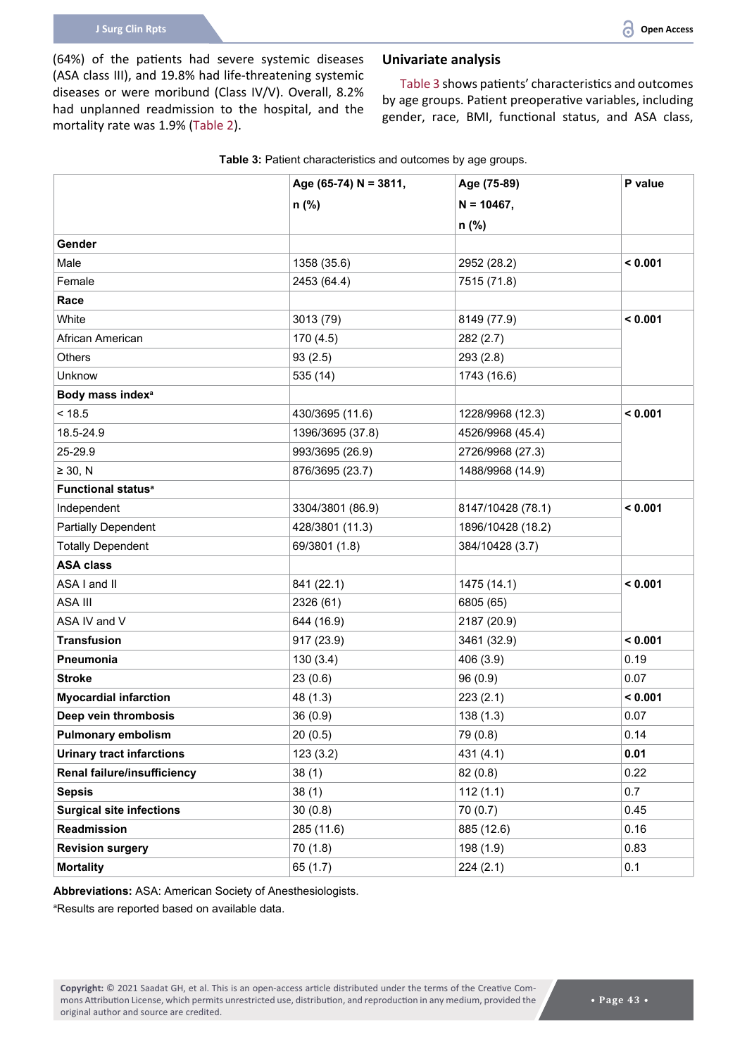(64%) of the patients had severe systemic diseases (ASA class III), and 19.8% had life-threatening systemic diseases or were moribund (Class IV/V). Overall, 8.2% had unplanned readmission to the hospital, and the mortality rate was 1.9% ([Table 2](#page-2-0)).

#### **Univariate analysis**

[Table 3](#page-3-0) shows patients' characteristics and outcomes by age groups. Patient preoperative variables, including gender, race, BMI, functional status, and ASA class,

<span id="page-3-0"></span>

|                                    | Age (65-74) N = 3811, | Age (75-89)       | P value |  |
|------------------------------------|-----------------------|-------------------|---------|--|
|                                    | n (%)                 | $N = 10467,$      |         |  |
|                                    |                       | n (%)             |         |  |
| Gender                             |                       |                   |         |  |
| Male                               | 1358 (35.6)           | 2952 (28.2)       | < 0.001 |  |
| Female                             | 2453 (64.4)           | 7515 (71.8)       |         |  |
| Race                               |                       |                   |         |  |
| White                              | 3013 (79)             | 8149 (77.9)       | < 0.001 |  |
| African American                   | 170 (4.5)             | 282(2.7)          |         |  |
| Others                             | 93(2.5)               | 293(2.8)          |         |  |
| Unknow                             | 535 (14)              | 1743 (16.6)       |         |  |
| Body mass index <sup>a</sup>       |                       |                   |         |  |
| < 18.5                             | 430/3695 (11.6)       | 1228/9968 (12.3)  | < 0.001 |  |
| 18.5-24.9                          | 1396/3695 (37.8)      | 4526/9968 (45.4)  |         |  |
| 25-29.9                            | 993/3695 (26.9)       | 2726/9968 (27.3)  |         |  |
| $\geq$ 30, N                       | 876/3695 (23.7)       | 1488/9968 (14.9)  |         |  |
| Functional status <sup>a</sup>     |                       |                   |         |  |
| Independent                        | 3304/3801 (86.9)      | 8147/10428 (78.1) | < 0.001 |  |
| <b>Partially Dependent</b>         | 428/3801 (11.3)       | 1896/10428 (18.2) |         |  |
| <b>Totally Dependent</b>           | 69/3801 (1.8)         | 384/10428 (3.7)   |         |  |
| <b>ASA class</b>                   |                       |                   |         |  |
| ASA I and II                       | 841 (22.1)            | 1475 (14.1)       | < 0.001 |  |
| ASA III                            | 2326 (61)             | 6805 (65)         |         |  |
| ASA IV and V                       | 644 (16.9)            | 2187 (20.9)       |         |  |
| <b>Transfusion</b>                 | 917 (23.9)            | 3461 (32.9)       | < 0.001 |  |
| Pneumonia                          | 130 (3.4)             | 406 (3.9)         | 0.19    |  |
| <b>Stroke</b>                      | 23(0.6)               | 96(0.9)           | 0.07    |  |
| <b>Myocardial infarction</b>       | 48 (1.3)              | 223(2.1)          | < 0.001 |  |
| Deep vein thrombosis               | 36(0.9)               | 138(1.3)          | 0.07    |  |
| <b>Pulmonary embolism</b>          | 20(0.5)               | 79 (0.8)          | 0.14    |  |
| <b>Urinary tract infarctions</b>   | 123(3.2)              | 431 (4.1)         | 0.01    |  |
| <b>Renal failure/insufficiency</b> | 38(1)                 | 82(0.8)           | 0.22    |  |
| <b>Sepsis</b>                      | 38(1)                 | 112(1.1)          | 0.7     |  |
| <b>Surgical site infections</b>    | 30(0.8)               | 70 (0.7)          | 0.45    |  |
| Readmission                        | 285 (11.6)            | 885 (12.6)        | 0.16    |  |
| <b>Revision surgery</b>            | 70(1.8)               | 198 (1.9)         | 0.83    |  |
| <b>Mortality</b>                   | 65 (1.7)              | 224(2.1)          | 0.1     |  |

**Abbreviations:** ASA: American Society of Anesthesiologists.

a Results are reported based on available data.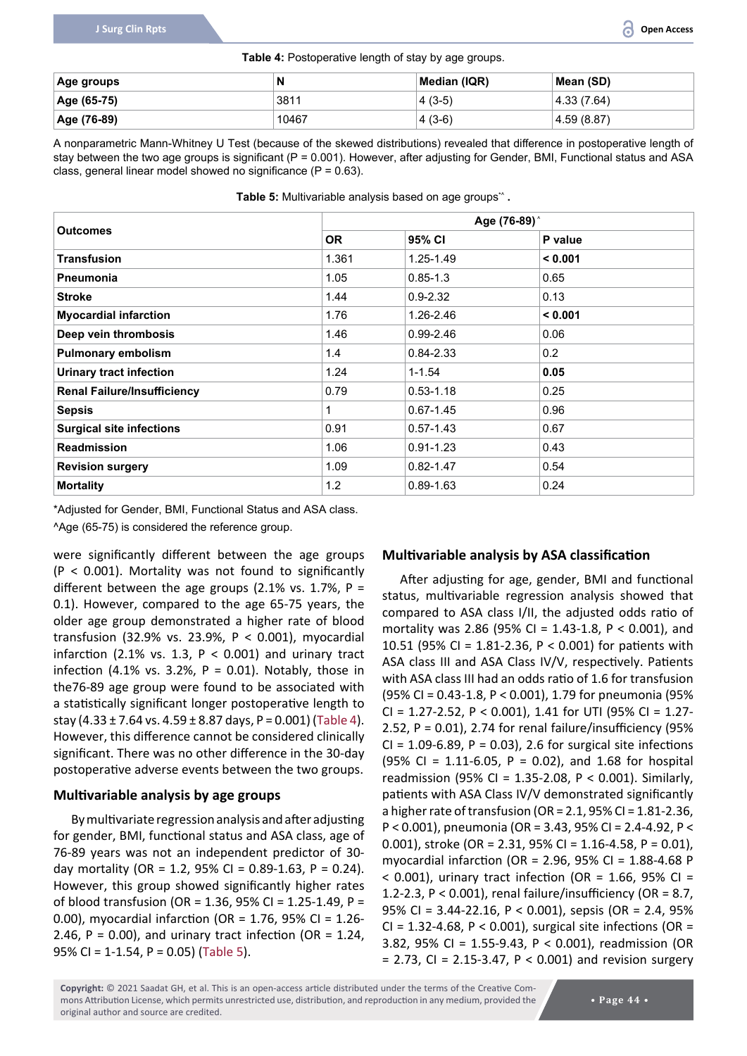<span id="page-4-0"></span>**Table 4:** Postoperative length of stay by age groups.

| Age groups  | N     | Median (IQR) | Mean (SD)    |
|-------------|-------|--------------|--------------|
| Age (65-75) | 3811  | $4(3-5)$     | (4.33(7.64)) |
| Age (76-89) | 10467 | $4(3-6)$     | 4.59(8.87)   |

A nonparametric Mann-Whitney U Test (because of the skewed distributions) revealed that difference in postoperative length of stay between the two age groups is significant (P = 0.001). However, after adjusting for Gender, BMI, Functional status and ASA class, general linear model showed no significance  $(P = 0.63)$ .

<span id="page-4-1"></span>

| Table 5: Multivariable analysis based on age groups*^. |  |  |
|--------------------------------------------------------|--|--|
|--------------------------------------------------------|--|--|

|                                    | Age (76-89) <sup>^</sup> |               |         |  |
|------------------------------------|--------------------------|---------------|---------|--|
| <b>Outcomes</b>                    | <b>OR</b>                | 95% CI        | P value |  |
| <b>Transfusion</b>                 | 1.361                    | 1.25-1.49     | < 0.001 |  |
| <b>Pneumonia</b>                   | 1.05                     | $0.85 - 1.3$  | 0.65    |  |
| <b>Stroke</b>                      | 1.44                     | $0.9 - 2.32$  | 0.13    |  |
| <b>Myocardial infarction</b>       | 1.76                     | 1.26-2.46     | < 0.001 |  |
| Deep vein thrombosis               | 1.46                     | $0.99 - 2.46$ | 0.06    |  |
| <b>Pulmonary embolism</b>          | 1.4                      | $0.84 - 2.33$ | 0.2     |  |
| <b>Urinary tract infection</b>     | 1.24                     | $1 - 1.54$    | 0.05    |  |
| <b>Renal Failure/Insufficiency</b> | 0.79                     | $0.53 - 1.18$ | 0.25    |  |
| <b>Sepsis</b>                      | 1                        | $0.67 - 1.45$ | 0.96    |  |
| <b>Surgical site infections</b>    | 0.91                     | $0.57 - 1.43$ | 0.67    |  |
| <b>Readmission</b>                 | 1.06                     | $0.91 - 1.23$ | 0.43    |  |
| <b>Revision surgery</b>            | 1.09                     | $0.82 - 1.47$ | 0.54    |  |
| <b>Mortality</b>                   | 1.2                      | $0.89 - 1.63$ | 0.24    |  |

\*Adjusted for Gender, BMI, Functional Status and ASA class.

^Age (65-75) is considered the reference group.

were significantly different between the age groups  $(P < 0.001)$ . Mortality was not found to significantly different between the age groups (2.1% vs. 1.7%,  $P =$ 0.1). However, compared to the age 65-75 years, the older age group demonstrated a higher rate of blood transfusion (32.9% vs. 23.9%, P < 0.001), myocardial infarction (2.1% vs. 1.3,  $P < 0.001$ ) and urinary tract infection (4.1% vs. 3.2%,  $P = 0.01$ ). Notably, those in the76-89 age group were found to be associated with a statistically significant longer postoperative length to stay (4.33  $\pm$  7.64 vs. 4.59  $\pm$  8.87 days, P = 0.001) ([Table 4](#page-4-0)). However, this difference cannot be considered clinically significant. There was no other difference in the 30-day postoperative adverse events between the two groups.

## **Multivariable analysis by age groups**

By multivariate regression analysis and after adjusting for gender, BMI, functional status and ASA class, age of 76-89 years was not an independent predictor of 30 day mortality (OR = 1.2, 95% CI = 0.89-1.63, P = 0.24). However, this group showed significantly higher rates of blood transfusion (OR = 1.36, 95% CI = 1.25-1.49, P = 0.00), myocardial infarction (OR = 1.76, 95% CI = 1.26- 2.46, P = 0.00), and urinary tract infection (OR =  $1.24$ , 95% CI = 1-1.54, P = 0.05) ([Table 5](#page-4-1)).

## **Multivariable analysis by ASA classification**

After adjusting for age, gender, BMI and functional status, multivariable regression analysis showed that compared to ASA class I/II, the adjusted odds ratio of mortality was 2.86 (95% CI = 1.43-1.8, P < 0.001), and 10.51 (95% CI = 1.81-2.36, P < 0.001) for patients with ASA class III and ASA Class IV/V, respectively. Patients with ASA class III had an odds ratio of 1.6 for transfusion (95% CI = 0.43-1.8, P < 0.001), 1.79 for pneumonia (95% CI = 1.27-2.52, P < 0.001), 1.41 for UTI (95% CI = 1.27- 2.52,  $P = 0.01$ , 2.74 for renal failure/insufficiency (95%  $Cl = 1.09-6.89$ ,  $P = 0.03$ ), 2.6 for surgical site infections (95% CI = 1.11-6.05, P = 0.02), and 1.68 for hospital readmission (95% CI = 1.35-2.08, P < 0.001). Similarly, patients with ASA Class IV/V demonstrated significantly a higher rate of transfusion (OR = 2.1, 95% CI = 1.81-2.36, P < 0.001), pneumonia (OR = 3.43, 95% CI = 2.4-4.92, P < 0.001), stroke (OR = 2.31, 95% CI = 1.16-4.58, P = 0.01), myocardial infarction (OR = 2.96, 95% CI = 1.88-4.68 P  $<$  0.001), urinary tract infection (OR = 1.66, 95% CI = 1.2-2.3, P < 0.001), renal failure/insufficiency (OR = 8.7, 95% CI = 3.44-22.16, P < 0.001), sepsis (OR = 2.4, 95% CI =  $1.32-4.68$ , P < 0.001), surgical site infections (OR = 3.82, 95% CI = 1.55-9.43, P < 0.001), readmission (OR  $= 2.73$ , CI = 2.15-3.47, P < 0.001) and revision surgery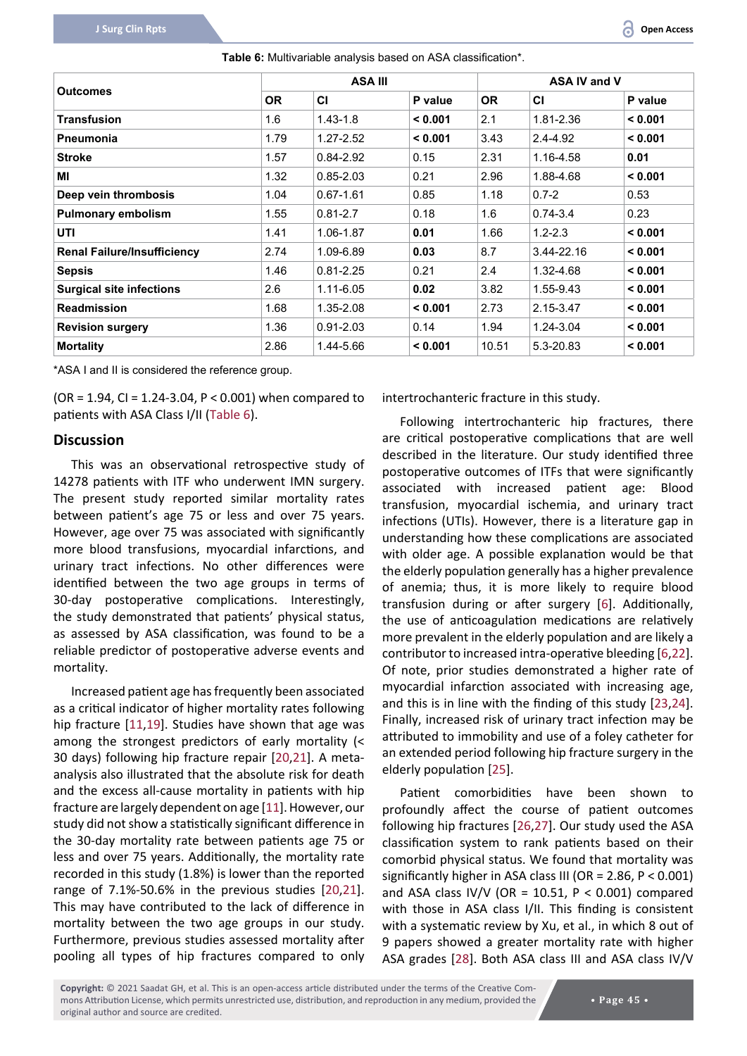|                                    |           | <b>ASA III</b> |         |           | ASA IV and V |         |  |
|------------------------------------|-----------|----------------|---------|-----------|--------------|---------|--|
| <b>Outcomes</b>                    | <b>OR</b> | <b>CI</b>      | P value | <b>OR</b> | <b>CI</b>    | P value |  |
| <b>Transfusion</b>                 | 1.6       | $1.43 - 1.8$   | < 0.001 | 2.1       | 1.81-2.36    | < 0.001 |  |
| Pneumonia                          | 1.79      | $1.27 - 2.52$  | < 0.001 | 3.43      | $2.4 - 4.92$ | < 0.001 |  |
| <b>Stroke</b>                      | 1.57      | $0.84 - 2.92$  | 0.15    | 2.31      | 1.16-4.58    | 0.01    |  |
| МI                                 | 1.32      | $0.85 - 2.03$  | 0.21    | 2.96      | 1.88-4.68    | < 0.001 |  |
| Deep vein thrombosis               | 1.04      | $0.67 - 1.61$  | 0.85    | 1.18      | $0.7 - 2$    | 0.53    |  |
| <b>Pulmonary embolism</b>          | 1.55      | $0.81 - 2.7$   | 0.18    | 1.6       | $0.74 - 3.4$ | 0.23    |  |
| UTI                                | 1.41      | 1.06-1.87      | 0.01    | 1.66      | $1.2 - 2.3$  | < 0.001 |  |
| <b>Renal Failure/Insufficiency</b> | 2.74      | 1.09-6.89      | 0.03    | 8.7       | 3.44-22.16   | < 0.001 |  |
| <b>Sepsis</b>                      | 1.46      | $0.81 - 2.25$  | 0.21    | 2.4       | 1.32-4.68    | < 0.001 |  |
| <b>Surgical site infections</b>    | 2.6       | 1.11-6.05      | 0.02    | 3.82      | 1.55-9.43    | < 0.001 |  |
| <b>Readmission</b>                 | 1.68      | 1.35-2.08      | < 0.001 | 2.73      | 2.15-3.47    | < 0.001 |  |
| <b>Revision surgery</b>            | 1.36      | $0.91 - 2.03$  | 0.14    | 1.94      | 1.24-3.04    | < 0.001 |  |
| <b>Mortality</b>                   | 2.86      | 1.44-5.66      | < 0.001 | 10.51     | 5.3-20.83    | < 0.001 |  |

<span id="page-5-0"></span>**Table 6:** Multivariable analysis based on ASA classification\*.

\*ASA I and II is considered the reference group.

 $(OR = 1.94, CI = 1.24 - 3.04, P < 0.001)$  when compared to patients with ASA Class I/II [\(Table 6\)](#page-5-0).

## **Discussion**

This was an observational retrospective study of 14278 patients with ITF who underwent IMN surgery. The present study reported similar mortality rates between patient's age 75 or less and over 75 years. However, age over 75 was associated with significantly more blood transfusions, myocardial infarctions, and urinary tract infections. No other differences were identified between the two age groups in terms of 30-day postoperative complications. Interestingly, the study demonstrated that patients' physical status, as assessed by ASA classification, was found to be a reliable predictor of postoperative adverse events and mortality.

Increased patient age has frequently been associated as a critical indicator of higher mortality rates following hip fracture [[11](#page-6-12),[19\]](#page-7-10). Studies have shown that age was among the strongest predictors of early mortality (< 30 days) following hip fracture repair [[20](#page-7-11)[,21](#page-7-12)]. A metaanalysis also illustrated that the absolute risk for death and the excess all-cause mortality in patients with hip fracture are largely dependent on age [[11](#page-6-12)]. However, our study did not show a statistically significant difference in the 30-day mortality rate between patients age 75 or less and over 75 years. Additionally, the mortality rate recorded in this study (1.8%) is lower than the reported range of 7.1%-50.6% in the previous studies [[20,](#page-7-11)[21](#page-7-12)]. This may have contributed to the lack of difference in mortality between the two age groups in our study. Furthermore, previous studies assessed mortality after pooling all types of hip fractures compared to only

intertrochanteric fracture in this study.

Following intertrochanteric hip fractures, there are critical postoperative complications that are well described in the literature. Our study identified three postoperative outcomes of ITFs that were significantly associated with increased patient age: Blood transfusion, myocardial ischemia, and urinary tract infections (UTIs). However, there is a literature gap in understanding how these complications are associated with older age. A possible explanation would be that the elderly population generally has a higher prevalence of anemia; thus, it is more likely to require blood transfusion during or after surgery [\[6\]](#page-6-7). Additionally, the use of anticoagulation medications are relatively more prevalent in the elderly population and are likely a contributor to increased intra-operative bleeding [\[6](#page-6-7)[,22\]](#page-7-3). Of note, prior studies demonstrated a higher rate of myocardial infarction associated with increasing age, and this is in line with the finding of this study [[23](#page-7-4)[,24\]](#page-7-5). Finally, increased risk of urinary tract infection may be attributed to immobility and use of a foley catheter for an extended period following hip fracture surgery in the elderly population [\[25](#page-7-6)].

Patient comorbidities have been shown to profoundly affect the course of patient outcomes following hip fractures [\[26](#page-7-7)[,27](#page-7-8)]. Our study used the ASA classification system to rank patients based on their comorbid physical status. We found that mortality was significantly higher in ASA class III (OR = 2.86, P < 0.001) and ASA class IV/V (OR = 10.51, P < 0.001) compared with those in ASA class I/II. This finding is consistent with a systematic review by Xu, et al., in which 8 out of 9 papers showed a greater mortality rate with higher ASA grades [[28](#page-7-9)]. Both ASA class III and ASA class IV/V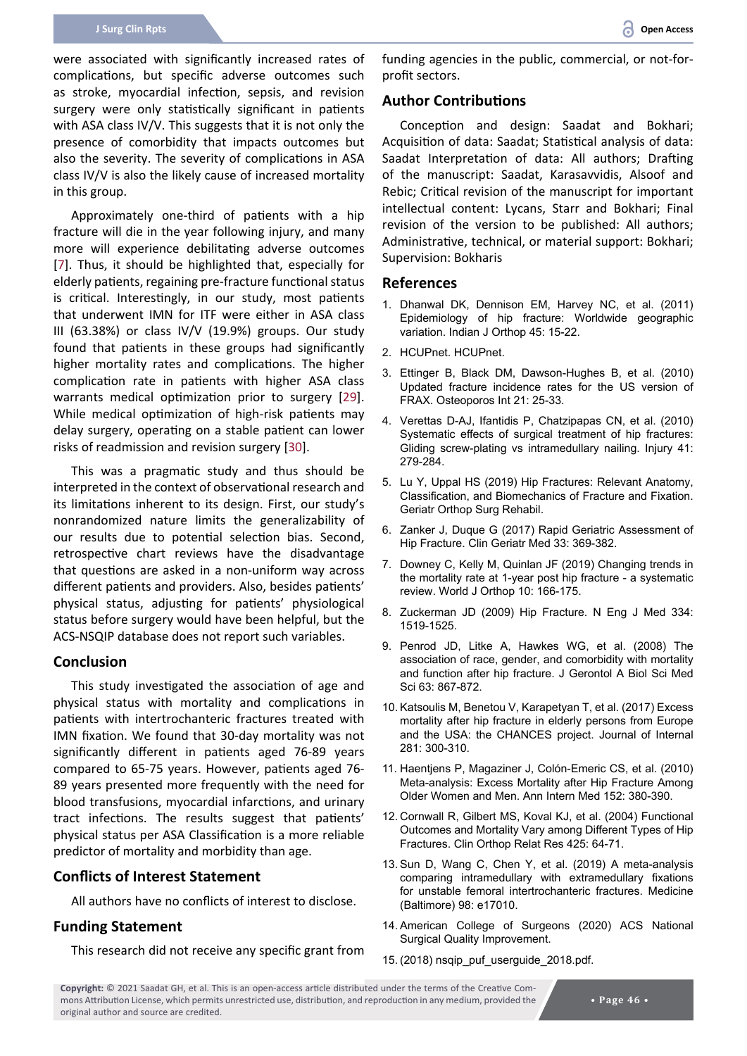were associated with significantly increased rates of complications, but specific adverse outcomes such as stroke, myocardial infection, sepsis, and revision surgery were only statistically significant in patients with ASA class IV/V. This suggests that it is not only the presence of comorbidity that impacts outcomes but also the severity. The severity of complications in ASA class IV/V is also the likely cause of increased mortality in this group.

Approximately one-third of patients with a hip fracture will die in the year following injury, and many more will experience debilitating adverse outcomes [[7](#page-6-8)]. Thus, it should be highlighted that, especially for elderly patients, regaining pre-fracture functional status is critical. Interestingly, in our study, most patients that underwent IMN for ITF were either in ASA class III (63.38%) or class IV/V (19.9%) groups. Our study found that patients in these groups had significantly higher mortality rates and complications. The higher complication rate in patients with higher ASA class warrants medical optimization prior to surgery [\[29](#page-7-13)]. While medical optimization of high-risk patients may delay surgery, operating on a stable patient can lower risks of readmission and revision surgery [[30](#page-7-14)].

This was a pragmatic study and thus should be interpreted in the context of observational research and its limitations inherent to its design. First, our study's nonrandomized nature limits the generalizability of our results due to potential selection bias. Second, retrospective chart reviews have the disadvantage that questions are asked in a non-uniform way across different patients and providers. Also, besides patients' physical status, adjusting for patients' physiological status before surgery would have been helpful, but the ACS-NSQIP database does not report such variables.

## **Conclusion**

This study investigated the association of age and physical status with mortality and complications in patients with intertrochanteric fractures treated with IMN fixation. We found that 30-day mortality was not significantly different in patients aged 76-89 years compared to 65-75 years. However, patients aged 76- 89 years presented more frequently with the need for blood transfusions, myocardial infarctions, and urinary tract infections. The results suggest that patients' physical status per ASA Classification is a more reliable predictor of mortality and morbidity than age.

## **Conflicts of Interest Statement**

All authors have no conflicts of interest to disclose.

## **Funding Statement**

This research did not receive any specific grant from

funding agencies in the public, commercial, or not-forprofit sectors.

## **Author Contributions**

Conception and design: Saadat and Bokhari; Acquisition of data: Saadat; Statistical analysis of data: Saadat Interpretation of data: All authors; Drafting of the manuscript: Saadat, Karasavvidis, Alsoof and Rebic; Critical revision of the manuscript for important intellectual content: Lycans, Starr and Bokhari; Final revision of the version to be published: All authors; Administrative, technical, or material support: Bokhari; Supervision: Bokharis

## **References**

- <span id="page-6-3"></span>1. [Dhanwal DK, Dennison EM, Harvey NC, et al. \(2011\)](https://pubmed.ncbi.nlm.nih.gov/21221218/)  [Epidemiology of hip fracture: Worldwide geographic](https://pubmed.ncbi.nlm.nih.gov/21221218/)  [variation. Indian J Orthop 45: 15-22.](https://pubmed.ncbi.nlm.nih.gov/21221218/)
- <span id="page-6-4"></span>2. HCUPnet. HCUPnet.
- <span id="page-6-0"></span>3. [Ettinger B, Black DM, Dawson-Hughes B, et al. \(2010\)](https://pubmed.ncbi.nlm.nih.gov/19705048/)  [Updated fracture incidence rates for the US version of](https://pubmed.ncbi.nlm.nih.gov/19705048/)  [FRAX. Osteoporos Int 21: 25-33.](https://pubmed.ncbi.nlm.nih.gov/19705048/)
- <span id="page-6-1"></span>4. [Verettas D-AJ, Ifantidis P, Chatzipapas CN, et al. \(2010\)](https://pubmed.ncbi.nlm.nih.gov/20176167/)  [Systematic effects of surgical treatment of hip fractures:](https://pubmed.ncbi.nlm.nih.gov/20176167/)  [Gliding screw-plating vs intramedullary nailing. Injury 41:](https://pubmed.ncbi.nlm.nih.gov/20176167/)  [279-284.](https://pubmed.ncbi.nlm.nih.gov/20176167/)
- <span id="page-6-2"></span>5. [Lu Y, Uppal HS \(2019\) Hip Fractures: Relevant Anatomy,](https://pubmed.ncbi.nlm.nih.gov/31321116/)  [Classification, and Biomechanics of Fracture and Fixation.](https://pubmed.ncbi.nlm.nih.gov/31321116/)  [Geriatr Orthop Surg Rehabil.](https://pubmed.ncbi.nlm.nih.gov/31321116/)
- <span id="page-6-7"></span>6. [Zanker J, Duque G \(2017\) Rapid Geriatric Assessment of](https://pubmed.ncbi.nlm.nih.gov/28689569/)  [Hip Fracture. Clin Geriatr Med 33: 369-382.](https://pubmed.ncbi.nlm.nih.gov/28689569/)
- <span id="page-6-8"></span>7. [Downey C, Kelly M, Quinlan JF \(2019\) Changing trends in](https://pubmed.ncbi.nlm.nih.gov/30918799/)  [the mortality rate at 1-year post hip fracture - a systematic](https://pubmed.ncbi.nlm.nih.gov/30918799/)  [review. World J Orthop 10: 166-175.](https://pubmed.ncbi.nlm.nih.gov/30918799/)
- <span id="page-6-9"></span>8. [Zuckerman JD \(2009\) Hip Fracture. N Eng J Med 334:](https://pubmed.ncbi.nlm.nih.gov/8618608/)  [1519-1525.](https://pubmed.ncbi.nlm.nih.gov/8618608/)
- <span id="page-6-10"></span>9. [Penrod JD, Litke A, Hawkes WG, et al. \(2008\) The](https://pubmed.ncbi.nlm.nih.gov/18772476/)  [association of race, gender, and comorbidity with mortality](https://pubmed.ncbi.nlm.nih.gov/18772476/)  [and function after hip fracture. J Gerontol A Biol Sci Med](https://pubmed.ncbi.nlm.nih.gov/18772476/)  [Sci 63: 867-872.](https://pubmed.ncbi.nlm.nih.gov/18772476/)
- <span id="page-6-11"></span>10. [Katsoulis M, Benetou V, Karapetyan T, et al. \(2017\) Excess](https://pubmed.ncbi.nlm.nih.gov/28093824/)  [mortality after hip fracture in elderly persons from Europe](https://pubmed.ncbi.nlm.nih.gov/28093824/)  [and the USA: the CHANCES project. Journal of Internal](https://pubmed.ncbi.nlm.nih.gov/28093824/)  [281: 300-310.](https://pubmed.ncbi.nlm.nih.gov/28093824/)
- <span id="page-6-12"></span>11. [Haentjens P, Magaziner J, Colón-Emeric CS, et al. \(2010\)](https://pubmed.ncbi.nlm.nih.gov/20231569)  [Meta-analysis: Excess Mortality after Hip Fracture Among](https://pubmed.ncbi.nlm.nih.gov/20231569)  [Older Women and Men. Ann Intern Med 152: 380-390.](https://pubmed.ncbi.nlm.nih.gov/20231569)
- <span id="page-6-13"></span>12. [Cornwall R, Gilbert MS, Koval KJ, et al. \(2004\) Functional](https://pubmed.ncbi.nlm.nih.gov/15292789/)  [Outcomes and Mortality Vary among Different Types of Hip](https://pubmed.ncbi.nlm.nih.gov/15292789/)  [Fractures. Clin Orthop Relat Res 425: 64-71.](https://pubmed.ncbi.nlm.nih.gov/15292789/)
- <span id="page-6-14"></span>13. [Sun D, Wang C, Chen Y, et al. \(2019\) A meta-analysis](https://www.ncbi.nlm.nih.gov/pmc/articles/PMC6750238/)  [comparing intramedullary with extramedullary fixations](https://www.ncbi.nlm.nih.gov/pmc/articles/PMC6750238/)  [for unstable femoral intertrochanteric fractures. Medicine](https://www.ncbi.nlm.nih.gov/pmc/articles/PMC6750238/)  [\(Baltimore\) 98: e17010.](https://www.ncbi.nlm.nih.gov/pmc/articles/PMC6750238/)
- <span id="page-6-5"></span>14. [American College of Surgeons \(2020\) ACS National](https://www.facs.org/quality-programs/acs-nsqip)  [Surgical Quality Improvement.](https://www.facs.org/quality-programs/acs-nsqip)
- <span id="page-6-6"></span>15. [\(2018\) nsqip\\_puf\\_userguide\\_2018.pdf.](https://www.facs.org/-/media/files/quality-programs/nsqip/nsqip_puf_userguide_2018.ashx)